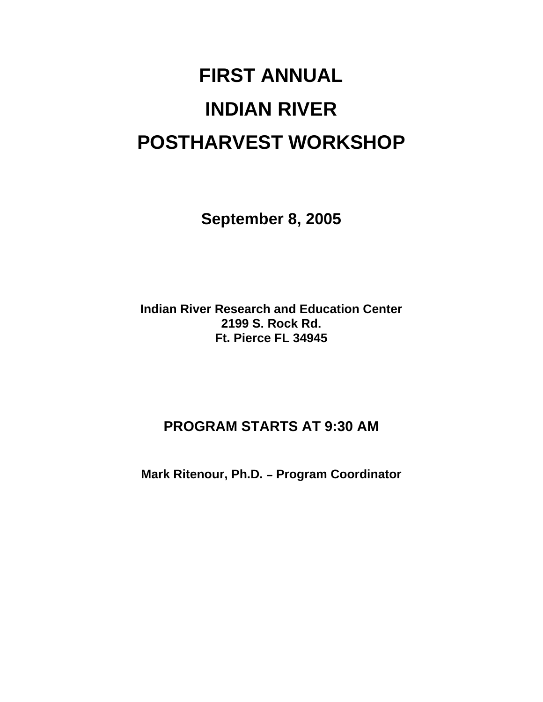# **FIRST ANNUAL INDIAN RIVER POSTHARVEST WORKSHOP**

**September 8, 2005** 

**Indian River Research and Education Center 2199 S. Rock Rd. Ft. Pierce FL 34945** 

### **PROGRAM STARTS AT 9:30 AM**

**Mark Ritenour, Ph.D. - Program Coordinator**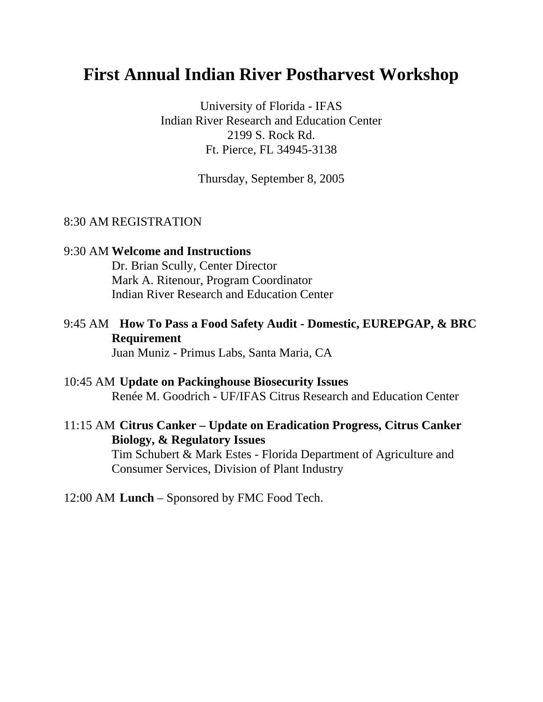## **First Annual Indian River Postharvest Workshop**

University of Florida - IFAS Indian River Research and Education Center 2199 S. Rock Rd. Ft. Pierce, FL 34945-3138

Thursday, September 8, 2005

#### 8:30 AM REGISTRATION

#### 9:30 AM **Welcome and Instructions** Dr. Brian Scully, Center Director Mark A. Ritenour, Program Coordinator Indian River Research and Education Center

### 9:45 AM **How To Pass a Food Safety Audit - Domestic, EUREPGAP, & BRC Requirement**

Juan Muniz - Primus Labs, Santa Maria, CA

#### 10:45 AM **Update on Packinghouse Biosecurity Issues**

Renée M. Goodrich - UF/IFAS Citrus Research and Education Center

#### 11:15 AM **Citrus Canker – Update on Eradication Progress, Citrus Canker Biology, & Regulatory Issues**

 Tim Schubert & Mark Estes - Florida Department of Agriculture and Consumer Services, Division of Plant Industry

#### 12:00 AM **Lunch** – Sponsored by FMC Food Tech.